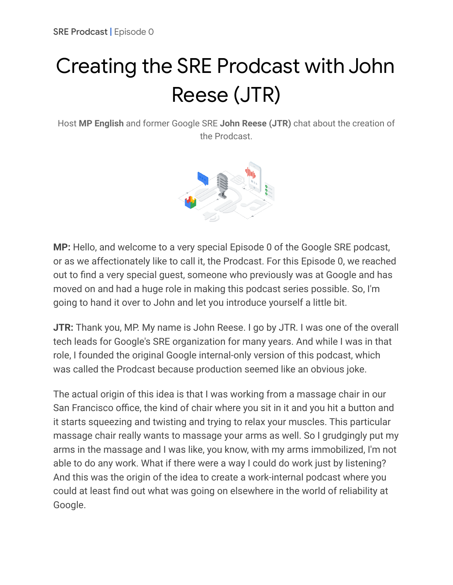## Creating the SRE Prodcast with John Reese (JTR)

Host **MP English** and former Google SRE **John Reese (JTR)** chat about the creation of the Prodcast.



**MP:** Hello, and welcome to a very special Episode 0 of the Google SRE podcast, or as we affectionately like to call it, the Prodcast. For this Episode 0, we reached out to find a very special guest, someone who previously was at Google and has moved on and had a huge role in making this podcast series possible. So, I'm going to hand it over to John and let you introduce yourself a little bit.

**JTR:** Thank you, MP. My name is John Reese. I go by JTR. I was one of the overall tech leads for Google's SRE organization for many years. And while I was in that role, I founded the original Google internal-only version of this podcast, which was called the Prodcast because production seemed like an obvious joke.

The actual origin of this idea is that I was working from a massage chair in our San Francisco office, the kind of chair where you sit in it and you hit a button and it starts squeezing and twisting and trying to relax your muscles. This particular massage chair really wants to massage your arms as well. So I grudgingly put my arms in the massage and I was like, you know, with my arms immobilized, I'm not able to do any work. What if there were a way I could do work just by listening? And this was the origin of the idea to create a work-internal podcast where you could at least find out what was going on elsewhere in the world of reliability at Google.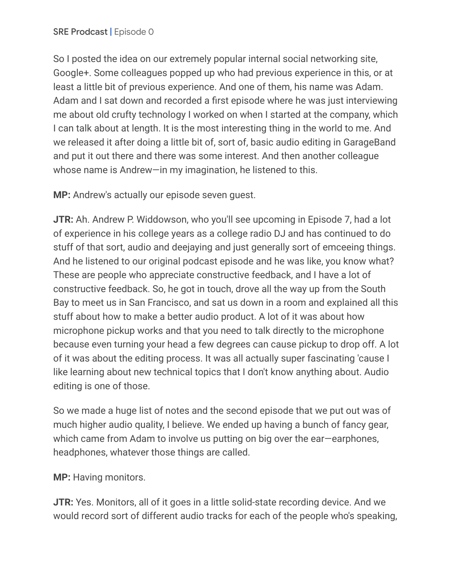So I posted the idea on our extremely popular internal social networking site, Google+. Some colleagues popped up who had previous experience in this, or at least a little bit of previous experience. And one of them, his name was Adam. Adam and I sat down and recorded a first episode where he was just interviewing me about old crufty technology I worked on when I started at the company, which I can talk about at length. It is the most interesting thing in the world to me. And we released it after doing a little bit of, sort of, basic audio editing in GarageBand and put it out there and there was some interest. And then another colleague whose name is Andrew—in my imagination, he listened to this.

**MP:** Andrew's actually our episode seven guest.

**JTR:** Ah. Andrew P. Widdowson, who you'll see upcoming in Episode 7, had a lot of experience in his college years as a college radio DJ and has continued to do stuff of that sort, audio and deejaying and just generally sort of emceeing things. And he listened to our original podcast episode and he was like, you know what? These are people who appreciate constructive feedback, and I have a lot of constructive feedback. So, he got in touch, drove all the way up from the South Bay to meet us in San Francisco, and sat us down in a room and explained all this stuff about how to make a better audio product. A lot of it was about how microphone pickup works and that you need to talk directly to the microphone because even turning your head a few degrees can cause pickup to drop off. A lot of it was about the editing process. It was all actually super fascinating 'cause I like learning about new technical topics that I don't know anything about. Audio editing is one of those.

So we made a huge list of notes and the second episode that we put out was of much higher audio quality, I believe. We ended up having a bunch of fancy gear, which came from Adam to involve us putting on big over the ear—earphones, headphones, whatever those things are called.

**MP:** Having monitors.

**JTR:** Yes. Monitors, all of it goes in a little solid-state recording device. And we would record sort of different audio tracks for each of the people who's speaking,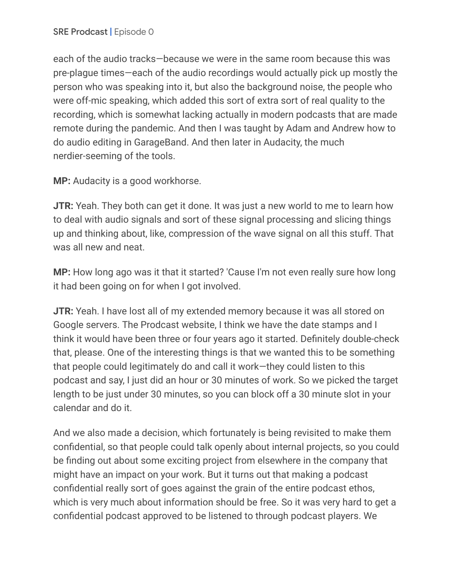each of the audio tracks—because we were in the same room because this was pre-plague times—each of the audio recordings would actually pick up mostly the person who was speaking into it, but also the background noise, the people who were off-mic speaking, which added this sort of extra sort of real quality to the recording, which is somewhat lacking actually in modern podcasts that are made remote during the pandemic. And then I was taught by Adam and Andrew how to do audio editing in GarageBand. And then later in Audacity, the much nerdier-seeming of the tools.

**MP:** Audacity is a good workhorse.

**JTR:** Yeah. They both can get it done. It was just a new world to me to learn how to deal with audio signals and sort of these signal processing and slicing things up and thinking about, like, compression of the wave signal on all this stuff. That was all new and neat.

**MP:** How long ago was it that it started? 'Cause I'm not even really sure how long it had been going on for when I got involved.

**JTR:** Yeah. I have lost all of my extended memory because it was all stored on Google servers. The Prodcast website, I think we have the date stamps and I think it would have been three or four years ago it started. Definitely double-check that, please. One of the interesting things is that we wanted this to be something that people could legitimately do and call it work—they could listen to this podcast and say, I just did an hour or 30 minutes of work. So we picked the target length to be just under 30 minutes, so you can block off a 30 minute slot in your calendar and do it.

And we also made a decision, which fortunately is being revisited to make them confidential, so that people could talk openly about internal projects, so you could be finding out about some exciting project from elsewhere in the company that might have an impact on your work. But it turns out that making a podcast confidential really sort of goes against the grain of the entire podcast ethos, which is very much about information should be free. So it was very hard to get a confidential podcast approved to be listened to through podcast players. We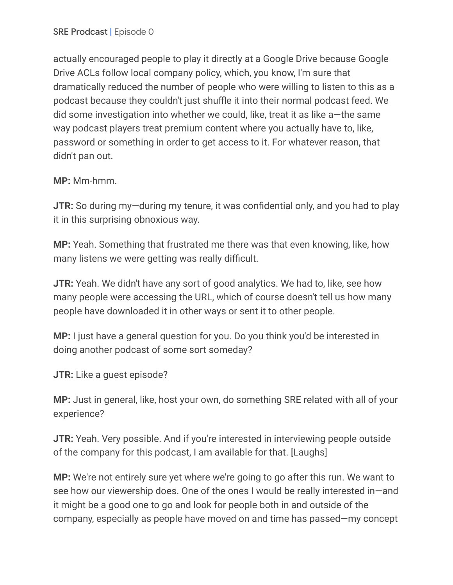actually encouraged people to play it directly at a Google Drive because Google Drive ACLs follow local company policy, which, you know, I'm sure that dramatically reduced the number of people who were willing to listen to this as a podcast because they couldn't just shuffle it into their normal podcast feed. We did some investigation into whether we could, like, treat it as like a—the same way podcast players treat premium content where you actually have to, like, password or something in order to get access to it. For whatever reason, that didn't pan out.

## **MP:** Mm-hmm.

**JTR:** So during my—during my tenure, it was confidential only, and you had to play it in this surprising obnoxious way.

**MP:** Yeah. Something that frustrated me there was that even knowing, like, how many listens we were getting was really difficult.

**JTR:** Yeah. We didn't have any sort of good analytics. We had to, like, see how many people were accessing the URL, which of course doesn't tell us how many people have downloaded it in other ways or sent it to other people.

**MP:** I just have a general question for you. Do you think you'd be interested in doing another podcast of some sort someday?

**JTR:** Like a guest episode?

**MP:** Just in general, like, host your own, do something SRE related with all of your experience?

**JTR:** Yeah. Very possible. And if you're interested in interviewing people outside of the company for this podcast, I am available for that. [Laughs]

**MP:** We're not entirely sure yet where we're going to go after this run. We want to see how our viewership does. One of the ones I would be really interested in—and it might be a good one to go and look for people both in and outside of the company, especially as people have moved on and time has passed—my concept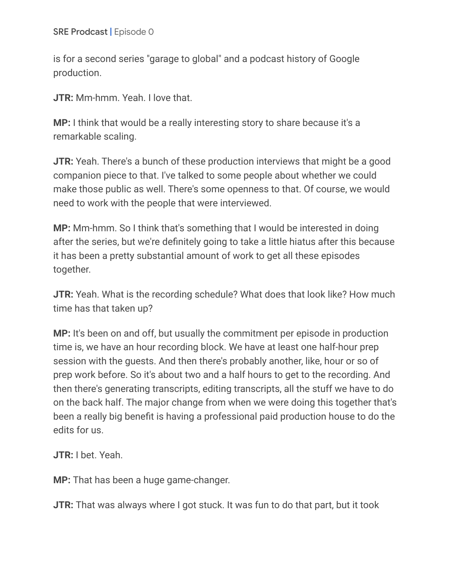is for a second series "garage to global" and a podcast history of Google production.

**JTR:** Mm-hmm. Yeah. I love that.

**MP:** I think that would be a really interesting story to share because it's a remarkable scaling.

**JTR:** Yeah. There's a bunch of these production interviews that might be a good companion piece to that. I've talked to some people about whether we could make those public as well. There's some openness to that. Of course, we would need to work with the people that were interviewed.

**MP:** Mm-hmm. So I think that's something that I would be interested in doing after the series, but we're definitely going to take a little hiatus after this because it has been a pretty substantial amount of work to get all these episodes together.

**JTR:** Yeah. What is the recording schedule? What does that look like? How much time has that taken up?

**MP:** It's been on and off, but usually the commitment per episode in production time is, we have an hour recording block. We have at least one half-hour prep session with the guests. And then there's probably another, like, hour or so of prep work before. So it's about two and a half hours to get to the recording. And then there's generating transcripts, editing transcripts, all the stuff we have to do on the back half. The major change from when we were doing this together that's been a really big benefit is having a professional paid production house to do the edits for us.

**JTR:** I bet. Yeah.

**MP:** That has been a huge game-changer.

**JTR:** That was always where I got stuck. It was fun to do that part, but it took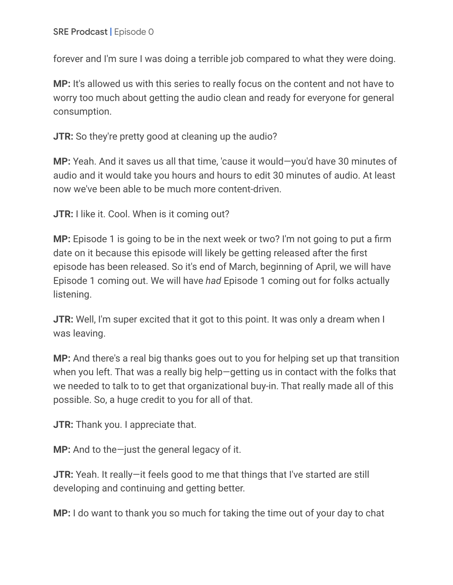forever and I'm sure I was doing a terrible job compared to what they were doing.

**MP:** It's allowed us with this series to really focus on the content and not have to worry too much about getting the audio clean and ready for everyone for general consumption.

**JTR:** So they're pretty good at cleaning up the audio?

**MP:** Yeah. And it saves us all that time, 'cause it would—you'd have 30 minutes of audio and it would take you hours and hours to edit 30 minutes of audio. At least now we've been able to be much more content-driven.

**JTR:** I like it. Cool. When is it coming out?

**MP:** Episode 1 is going to be in the next week or two? I'm not going to put a firm date on it because this episode will likely be getting released after the first episode has been released. So it's end of March, beginning of April, we will have Episode 1 coming out. We will have *had* Episode 1 coming out for folks actually listening.

**JTR:** Well, I'm super excited that it got to this point. It was only a dream when I was leaving.

**MP:** And there's a real big thanks goes out to you for helping set up that transition when you left. That was a really big help—getting us in contact with the folks that we needed to talk to to get that organizational buy-in. That really made all of this possible. So, a huge credit to you for all of that.

**JTR:** Thank you. I appreciate that.

**MP:** And to the—just the general legacy of it.

**JTR:** Yeah. It really—it feels good to me that things that I've started are still developing and continuing and getting better.

**MP:** I do want to thank you so much for taking the time out of your day to chat